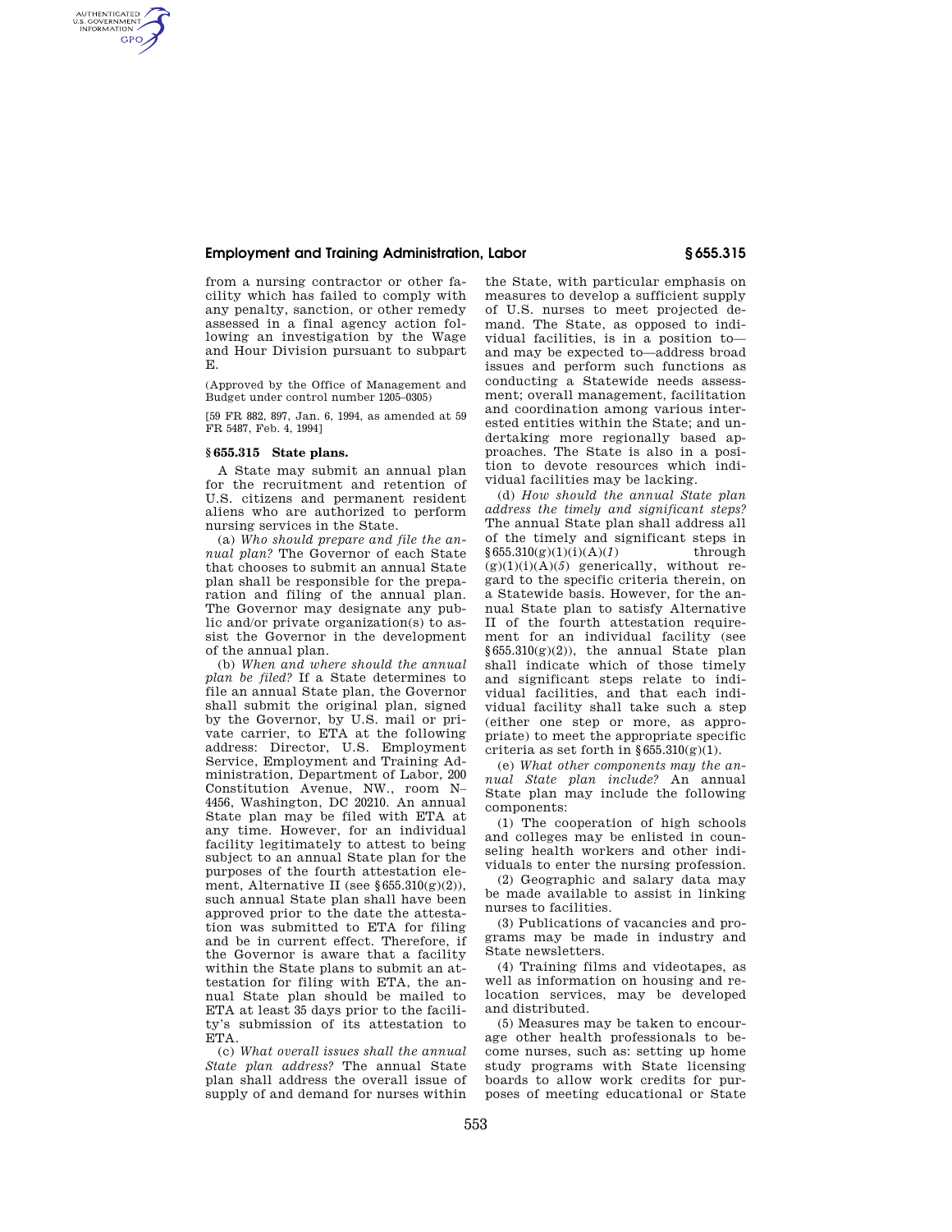## **Employment and Training Administration, Labor § 655.315**

from a nursing contractor or other facility which has failed to comply with any penalty, sanction, or other remedy assessed in a final agency action following an investigation by the Wage and Hour Division pursuant to subpart E.

(Approved by the Office of Management and Budget under control number 1205–0305)

[59 FR 882, 897, Jan. 6, 1994, as amended at 59 FR 5487, Feb. 4, 1994]

## **§ 655.315 State plans.**

AUTHENTICATED<br>U.S. GOVERNMENT<br>INFORMATION **GPO** 

> A State may submit an annual plan for the recruitment and retention of U.S. citizens and permanent resident aliens who are authorized to perform nursing services in the State.

> (a) *Who should prepare and file the annual plan?* The Governor of each State that chooses to submit an annual State plan shall be responsible for the preparation and filing of the annual plan. The Governor may designate any public and/or private organization(s) to assist the Governor in the development of the annual plan.

> (b) *When and where should the annual plan be filed?* If a State determines to file an annual State plan, the Governor shall submit the original plan, signed by the Governor, by U.S. mail or private carrier, to ETA at the following address: Director, U.S. Employment Service, Employment and Training Administration, Department of Labor, 200 Constitution Avenue, NW., room N– 4456, Washington, DC 20210. An annual State plan may be filed with ETA at any time. However, for an individual facility legitimately to attest to being subject to an annual State plan for the purposes of the fourth attestation element, Alternative II (see  $§655.310(g)(2)$ ), such annual State plan shall have been approved prior to the date the attestation was submitted to ETA for filing and be in current effect. Therefore, if the Governor is aware that a facility within the State plans to submit an attestation for filing with ETA, the annual State plan should be mailed to ETA at least 35 days prior to the facility's submission of its attestation to ETA.

> (c) *What overall issues shall the annual State plan address?* The annual State plan shall address the overall issue of supply of and demand for nurses within

the State, with particular emphasis on measures to develop a sufficient supply of U.S. nurses to meet projected demand. The State, as opposed to individual facilities, is in a position to and may be expected to—address broad issues and perform such functions as conducting a Statewide needs assessment; overall management, facilitation and coordination among various interested entities within the State; and undertaking more regionally based approaches. The State is also in a position to devote resources which individual facilities may be lacking.

(d) *How should the annual State plan address the timely and significant steps?*  The annual State plan shall address all of the timely and significant steps in  $§655.310(g)(1)(i)(A)(1)$  through  $(g)(1)(i)(A)(5)$  generically, without regard to the specific criteria therein, on a Statewide basis. However, for the annual State plan to satisfy Alternative II of the fourth attestation requirement for an individual facility (see  $§655.310(g)(2)$ , the annual State plan shall indicate which of those timely and significant steps relate to individual facilities, and that each individual facility shall take such a step (either one step or more, as appropriate) to meet the appropriate specific criteria as set forth in  $\S 655.310(g)(1)$ .

(e) *What other components may the annual State plan include?* An annual State plan may include the following components:

(1) The cooperation of high schools and colleges may be enlisted in counseling health workers and other individuals to enter the nursing profession.

(2) Geographic and salary data may be made available to assist in linking nurses to facilities.

(3) Publications of vacancies and programs may be made in industry and State newsletters.

(4) Training films and videotapes, as well as information on housing and relocation services, may be developed and distributed.

(5) Measures may be taken to encourage other health professionals to become nurses, such as: setting up home study programs with State licensing boards to allow work credits for purposes of meeting educational or State